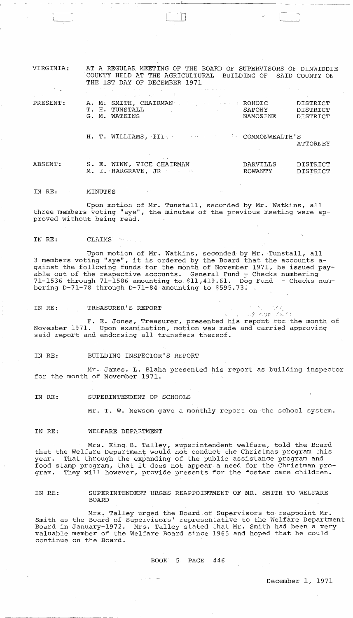| VIRGINIA:<br>and the gr                      | AT A REGULAR MEETING OF THE BOARD OF SUPERVISORS OF DINWIDDIE<br>COUNTY HELD AT THE AGRICULTURAL BUILDING OF SAID COUNTY ON<br>THE 1ST DAY OF DECEMBER 1971<br>والمنافر والمستقله والمتعاون والمنادر والمتنازل أتجار والمنادر والمنافر والمتعاونة والمنادر والمنادر والمتناولين                                                                  |                     |                                  |
|----------------------------------------------|--------------------------------------------------------------------------------------------------------------------------------------------------------------------------------------------------------------------------------------------------------------------------------------------------------------------------------------------------|---------------------|----------------------------------|
| state of the control of the con-<br>PRESENT: | where the contribution of the contribution of the contribution of the contribution of the contribution of the contribution of the contribution of the contribution of the contribution of the contribution of the contributio<br>A. M. SMITH, CHAIRMAN And All Property of the ROHOIC<br>T. H. TUNSTALL<br><b>SAPONY</b> SAPONY<br>G. M. WATKINS | NAMOZ INE           | DISTRICT<br>DISTRICT<br>DISTRICT |
|                                              | H. T. WILLIAMS, III. T. A. COMMONWEALTH'S                                                                                                                                                                                                                                                                                                        |                     | ATTORNEY                         |
| ABSENT:                                      | S. E. WINN, VICE CHAIRMAN<br>M. I. HARGRAVE, JR                                                                                                                                                                                                                                                                                                  | DARVILLS<br>ROWANTY | DISTRICT<br>DISTRICT             |

\_~ \_\_ <sup>~</sup>\_\_ ,,--l \_\_\_\_\_ \_

 $\Box$ 

IN RE: MINUTES

 $\overline{\phantom{a}}$ 

Upon motion of Mr. Tunstall, seconded by Mr. Watkins, all three members voting "aye", the minutes of the previous meeting were approved without being read.

IN RE: CLAIMS

Upon motion of Mr. Watkins, seconded by Mr. Tunstall, all 3 members voting "aye", it is ordered by the Board that the accounts against the following funds for the month of November 1971, be issued payable out of the respective accounts. General Fund  $\frac{1}{\sqrt{2}}$  Checks numbering 71-1536 through 71-1586 amounting to \$11,419.61. Dog Fund - Checks numbering  $D-71-78$  through  $D-71-84$  amounting to \$595.73.

IN RE: TREASURER'S REPORT

F. E. Jones, Treasurer, presented his report for the month of November 1971. Upon examination, motion was made and carried approving said report and endorsing all transfers thereof.

IN RE: BUILDING INSPECTOR'S REPORT

Mr. James. L. Blaha presented his report as building inspector for the month of November 1971.

IN RE: SUPERINTENDENT OF SCHOOLS

Mr. T. W. Newsom gave a monthly report on the school system.

. ~ **"** ')[- .:;-',

かいちょうしかん

IN RE: WELFARE DEPARTMENT

Mrs. King B. Talley, superintendent welfare, told the Board that the Welfare Department would not conduct the Christmas program this year. That through the expanding of the public assistance program and food stamp program, that it does not appear a need for the Christman program. They will however, provide presents for the foster care children.

IN RE: SUPERINTENDENT URGES REAPPOINTMENT OF MR. SMITH TO WELFARE BOARD

Mrs. Talley urged the Board of Supervisors to reappoint Mr. Smith as the Board of Supervisors' representative to the Welfare Department Board in January-1972. Mrs. Talley stated that Mr. Smith had been a very valuable member of the Welfare Board since 1965 and hoped that he could continue on the Board.

BOOK 5 PAGE 446

 $\gamma_{\rm{max}}$  and  $\alpha_{\rm{max}}$  and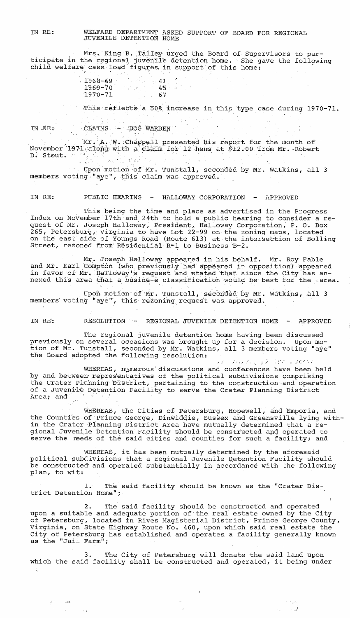IN RE: WELFARE DEPARTMENT ASKED SUPPORT OF BOARD FOR REGIONAL JUVENILE DETENTION HOME

Mrs. King B. Talley urged the Board of Supervisors to participate in the regional juvenile detention home. She gave the following child welfare case load figures, in support of this home: WELFARE DEPARTMENT ASKED SUPPC<br>JUVENILE DETENTION HOME<br>Mrs. King B. Talley urged the<br>the regional juvenile detention<br>e case load figures in support<br>1968-69<br>41

r9.6-9-70 197'0-71 41, 45  $-67$ 

This reflects a 50% increase in this type case during 1970-71.

IN.-RE:  $\overline{C}$ LAIMS - pOG WARDEN

"

I

Mr. A. W. Chappell presented his report for the month of November 1971 along with a claim for 12 hens at \$12.00 from Mr. Robert D: Stout. " " " J.  $\label{eq:1} \begin{array}{l} \mathcal{L}_{\mathcal{M}_1}(\mathcal{C}_1) = \mathcal{L}_{\mathcal{M}_2}(\mathcal{C}_2) \times \mathcal{L}_{\mathcal{M}_1}(\mathcal{C}_1) \times \mathcal{L}_{\mathcal{M}_2}(\mathcal{C}_2) \times \mathcal{L}_{\mathcal{M}_1}(\mathcal{C}_1) \times \mathcal{L}_{\mathcal{M}_2}(\mathcal{C}_2) \times \mathcal{L}_{\mathcal{M}_2}(\mathcal{C}_1) \times \mathcal{L}_{\mathcal{M}_1}(\mathcal{C}_2) \times \mathcal{L}_{\mathcal{M}_2}(\$ 

Upon motion of Mr. Tunstall, seconded by Mr. Watkins, all 3 members voting<sup>'</sup>"aye", this claim was approved.

IN RE: PUBLIC HEARING - HALLOWAY CORPORATION - APPROVED

This being the time and place as advertised in the Progress Index on November '17th and 24th to hold a public hearing to consider a request of Mr. Joseph Halloway, President, Halloway Corporation, P. O. Box 265, Petersburg, Virginia to have L0t 22-99 on the zoning maps, located on the east side of Youngs Road (Route 613) at the intersection of Bolling Street, rezoned from Residential R-1 to Business B-2.

Mr. Joseph Halloway appeared in his behalf. Mr. Roy Fable and Mr. Earl Compton (who previously had appeared in opposition) appeared in favor of Mr. Halloway's request and stated that since the City has annexed this area that a busine-s classification would be best for the 'area.

Upon motion of Mr. Tunstall, seconded by Mr. Watkins, all 3 members' voting **'1** aye"', this' rezoning, request was approved.

IN RE: RESOLUTION - REGIONAL JUVENILE DETENTION HOME - APPROVED

The regional juvenile detention home having been discussed previously on several occasions was brought up for a decision. Upon motion of Mr. Tunstall, seconded by Mr. Watkins, all 3 members voting "aye" the Board adopted the following resolution:

 $>$  3  $-$  1 (1)  $\sim$  1  $r_{\rm eq}$   $\sim$  5  $\sqrt[3]{r}$  .  $\sim$   $\sqrt[3]{r}$   $\sim$   $\sim$  10 (1)  $\sim$ 

WHEREAS, numerous discussions and conferences have been held by and between representatives of the political subdivisions comprising the Crater Planning District, pertaining to the construction and operation of a Juvenile Detention Facility to serve the Crater Planning District Area; and

WHEREAS, the Cities of Petersburg, Hopewell, and Emporia, and the Counties of Prince George, Dinwiddie, Sussex and Greensville lying within the Crater Planning District Area have mutually determined that a regional Juvenile Detention Facility should be constructed and operated to serve the reeds of the said cities and counties for such a facility; and

WHEREAS, it has been mutually determined by the aforesaid political subdivisions that a regional Juvenile Detention Facility should be cons'tructed' and operated substantially ih accordance with the following plan, to wit:

1. The said facility should be known as the "Crater District Detention Home";

2. The said facility should be constructed and operated upon a suitable and adequate portion of'the real estate owned by the City of Petersburg, located in Rives Magisterial District, Prince George County, Virginia, on State Highway Route No. 460, upon which said real estate the City of Petersburg has established and operates a facility generally known as the "Jail Farm";

3. The City of Petersburg will donate the said land upon which the said facility shall be constructed and operated, it being under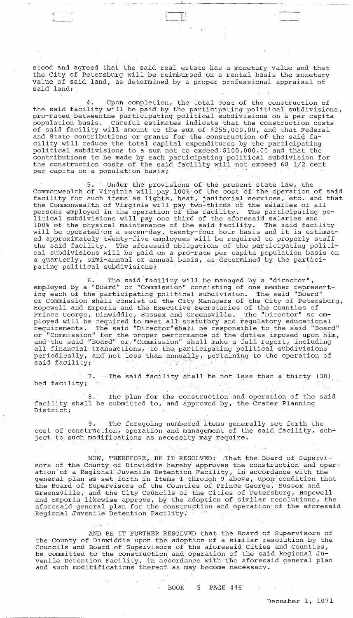stood and agreed that the said real estate has a monetary value and that the City of Petersburg will be reimbursed on a rental basis the monetary value of said land, as determined by a proper professional appraisal of said land;

--.-~ -

4. Upon completion, the total cost of the construction of the said facility will be paid by the participating political subdivisions, pro-rated betweenthe participating political subdivisions on a per capita population basis. Careful estimates indicate that the construction costs of said facility will amount to the sum of \$255,000.00, and that Federal and State contributions or grants for the construction of the said facility will reduce the total capital expenditures by the participating political subdivisions to a sum not to exceed, \$100,000.00 and that the contributions to be made by each participating political subdivision for the construction costs of the said facility will 'not exceed 68 1/2 cent per capita on a population basis;

5. Under the provisions of the present state law, the Commonwealth of Virginia will pay 100% of the cost of the operation of said facility for such items as lights, heat, janitorial services, etc. and that the Commonwealth of Virginia will pay two-thirds of the salaries of all persons employed in.the'operation of·the facility. The participating political subdivisions will pay one third of the aforesaid salaries and 100% of the physical maintenance of the said facility. The said facility will be operated on a seven-day, twenty-four hour basis and it is estimated approximately twenty-five employees will be required to properly staff<br>the said facility. The aforesaid obligations of the participating politi The aforesaid obligations of the participating political subdivisions will be paid on a pro-rate per capita population basis on a quarterly, simi-annual or annual basis, as determined by the participating political subdivisions;

6. The said facility will be managed by a "director", employed by a "Board" or "Commission" consisting of one member representing each of the participating political subdivision. The said' "Board" or Commission shall consist of the City Managers of the City of Petersburg, Hopewell and Emporia and the Executive Secretaries of the Counties of Prince George, Dinwiddie, Sussex and Greensville. The "Director" so employed will be required to meet all statutory and regulatory educational<br>requirements. The said "Director" shall be responsible to the said "Boar The said "Director"shall be responsible to the said "Board" or "Commission" for the proper performance of the duties imposed upon him, and the said "Board" or "Commission" shall make a full report, including all financial transactions, to the participating political subdivisions periodically, and not less than annually, pertaining to the operation of said facility; ployed will be required to meet all statutory and regulatory educated requirements. The said "Director" shall be responsible to the said or "Commission" for the proper performance of the duties imposed and the said "Board"

7. The said facility shall be not less than a thirty (30) bed facility;

The plan for the construction and operation of the said facility shali be submitted to,' and approved by, the Crater Planning District;

9. The foregoing numbered items generally set forth the cost of construction, operation and management of the said facility, subject to such modifications as necessity· may require.

NOW, THEREFORE, BE IT RESOLVED: That the Board of Supervisors of the County of Dinwiddie hereby approves the construction and operation of a Regional Juvenile Detention Facility, in accordance with the general plan as set forth in Items 1 through 9 above, upon condition that the Board of Supervisors of the Counties of Prince George, Sussex and Greensville, and the City Councils of the Cities of Petersburg, Hopewell and Emporia likewise approve, by the adoption of similar resolutions, the aforesaid general plan for the construction and operation of the aforesaid Regional Juvenile Detention Facility.

AND BE IT FURTHER RESOLVED that the Board of Supervisors of the County of Dinwiddie upon the adoption of a similar resolution by the Councils and Board of Supervisors of the aforesaid Cities and Counties, be committed to the construction and operation of the said Regional Juvenile Detention Facility, in accordance with the aforesaid general plan and such moditifications thereof as may become necessary.

 $\sim 400$ 

小学

BOOK 5 PAGE 446'